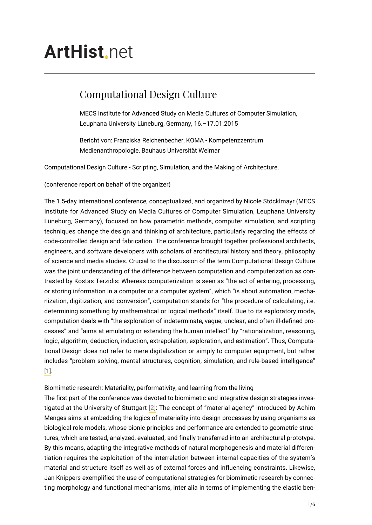# **ArtHist**, net

## Computational Design Culture

MECS Institute for Advanced Study on Media Cultures of Computer Simulation, Leuphana University Lüneburg, Germany, 16.–17.01.2015

Bericht von: Franziska Reichenbecher, KOMA - Kompetenzzentrum Medienanthropologie, Bauhaus Universität Weimar

Computational Design Culture - Scripting, Simulation, and the Making of Architecture.

(conference report on behalf of the organizer)

The 1.5-day international conference, conceptualized, and organized by Nicole Stöcklmayr (MECS Institute for Advanced Study on Media Cultures of Computer Simulation, Leuphana University Lüneburg, Germany), focused on how parametric methods, computer simulation, and scripting techniques change the design and thinking of architecture, particularly regarding the effects of code-controlled design and fabrication. The conference brought together professional architects, engineers, and software developers with scholars of architectural history and theory, philosophy of science and media studies. Crucial to the discussion of the term Computational Design Culture was the joint understanding of the difference between computation and computerization as contrasted by Kostas Terzidis: Whereas computerization is seen as "the act of entering, processing, or storing information in a computer or a computer system", which "is about automation, mechanization, digitization, and conversion", computation stands for "the procedure of calculating, i.e. determining something by mathematical or logical methods" itself. Due to its exploratory mode, computation deals with "the exploration of indeterminate, vague, unclear, and often ill-defined processes" and "aims at emulating or extending the human intellect" by "rationalization, reasoning, logic, algorithm, deduction, induction, extrapolation, exploration, and estimation". Thus, Computational Design does not refer to mere digitalization or simply to computer equipment, but rather includes "problem solving, mental structures, cognition, simulation, and rule-based intelligence" [\[1\].](#page-3-0)

<span id="page-0-0"></span>Biomimetic research: Materiality, performativity, and learning from the living

<span id="page-0-1"></span>The first part of the conference was devoted to biomimetic and integrative design strategies investigated at the University of Stuttgart [\[2\]](#page-3-1): The concept of "material agency" introduced by Achim Menges aims at embedding the logics of materiality into design processes by using organisms as biological role models, whose bionic principles and performance are extended to geometric structures, which are tested, analyzed, evaluated, and finally transferred into an architectural prototype. By this means, adapting the integrative methods of natural morphogenesis and material differentiation requires the exploitation of the interrelation between internal capacities of the system's material and structure itself as well as of external forces and influencing constraints. Likewise, Jan Knippers exemplified the use of computational strategies for biomimetic research by connecting morphology and functional mechanisms, inter alia in terms of implementing the elastic ben-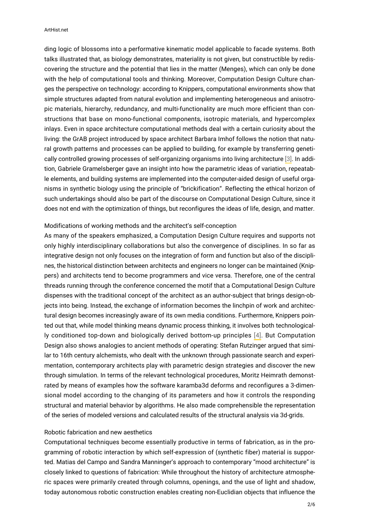#### ArtHist.net

ding logic of blossoms into a performative kinematic model applicable to facade systems. Both talks illustrated that, as biology demonstrates, materiality is not given, but constructible by rediscovering the structure and the potential that lies in the matter (Menges), which can only be done with the help of computational tools and thinking. Moreover, Computation Design Culture changes the perspective on technology: according to Knippers, computational environments show that simple structures adapted from natural evolution and implementing heterogeneous and anisotropic materials, hierarchy, redundancy, and multi-functionality are much more efficient than constructions that base on mono-functional components, isotropic materials, and hypercomplex inlays. Even in space architecture computational methods deal with a certain curiosity about the living: the GrAB project introduced by space architect Barbara Imhof follows the notion that natural growth patterns and processes can be applied to building, for example by transferring genetically controlled growing processes of self-organizing organisms into living architecture [\[3\]](#page-4-0). In addition, Gabriele Gramelsberger gave an insight into how the parametric ideas of variation, repeatable elements, and building systems are implemented into the computer-aided design of useful organisms in synthetic biology using the principle of "brickification". Reflecting the ethical horizon of such undertakings should also be part of the discourse on Computational Design Culture, since it does not end with the optimization of things, but reconfigures the ideas of life, design, and matter.

#### <span id="page-1-0"></span>Modifications of working methods and the architect's self-conception

<span id="page-1-1"></span>As many of the speakers emphasized, a Computation Design Culture requires and supports not only highly interdisciplinary collaborations but also the convergence of disciplines. In so far as integrative design not only focuses on the integration of form and function but also of the disciplines, the historical distinction between architects and engineers no longer can be maintained (Knippers) and architects tend to become programmers and vice versa. Therefore, one of the central threads running through the conference concerned the motif that a Computational Design Culture dispenses with the traditional concept of the architect as an author-subject that brings design-objects into being. Instead, the exchange of information becomes the linchpin of work and architectural design becomes increasingly aware of its own media conditions. Furthermore, Knippers pointed out that, while model thinking means dynamic process thinking, it involves both technologically conditioned top-down and biologically derived bottom-up principles [\[4\]](#page-4-1). But Computation Design also shows analogies to ancient methods of operating: Stefan Rutzinger argued that similar to 16th century alchemists, who dealt with the unknown through passionate search and experimentation, contemporary architects play with parametric design strategies and discover the new through simulation. In terms of the relevant technological procedures, Moritz Heimrath demonstrated by means of examples how the software karamba3d deforms and reconfigures a 3-dimensional model according to the changing of its parameters and how it controls the responding structural and material behavior by algorithms. He also made comprehensible the representation of the series of modeled versions and calculated results of the structural analysis via 3d-grids.

#### Robotic fabrication and new aesthetics

Computational techniques become essentially productive in terms of fabrication, as in the programming of robotic interaction by which self-expression of (synthetic fiber) material is supported. Matias del Campo and Sandra Manninger's approach to contemporary "mood architecture" is closely linked to questions of fabrication: While throughout the history of architecture atmospheric spaces were primarily created through columns, openings, and the use of light and shadow, today autonomous robotic construction enables creating non-Euclidian objects that influence the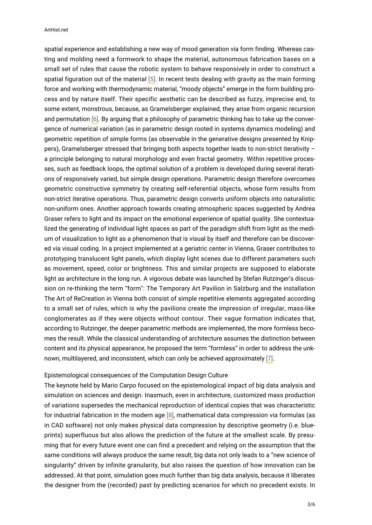<span id="page-2-1"></span><span id="page-2-0"></span>spatial experience and establishing a new way of mood generation via form finding. Whereas casting and molding need a formwork to shape the material, autonomous fabrication bases on a small set of rules that cause the robotic system to behave responsively in order to construct a spatial figuration out of the material [\[5\].](#page-4-2) In recent tests dealing with gravity as the main forming force and working with thermodynamic material, "moody objects" emerge in the form building process and by nature itself. Their specific aesthetic can be described as fuzzy, imprecise and, to some extent, monstrous, because, as Gramelsberger explained, they arise from organic recursion and permutation [\[6\]](#page-4-3). By arguing that a philosophy of parametric thinking has to take up the convergence of numerical variation (as in parametric design rooted in systems dynamics modeling) and geometric repetition of simple forms (as observable in the generative designs presented by Knippers), Gramelsberger stressed that bringing both aspects together leads to non-strict iterativity – a principle belonging to natural morphology and even fractal geometry. Within repetitive processes, such as feedback loops, the optimal solution of a problem is developed during several iterations of responsively varied, but simple design operations. Parametric design therefore overcomes geometric constructive symmetry by creating self-referential objects, whose form results from non-strict iterative operations. Thus, parametric design converts uniform objects into naturalistic non-uniform ones. Another approach towards creating atmospheric spaces suggested by Andrea Graser refers to light and its impact on the emotional experience of spatial quality. She contextualized the generating of individual light spaces as part of the paradigm shift from light as the medium of visualization to light as a phenomenon that is visual by itself and therefore can be discovered via visual coding. In a project implemented at a geriatric center in Vienna, Graser contributes to prototyping translucent light panels, which display light scenes due to different parameters such as movement, speed, color or brightness. This and similar projects are supposed to elaborate light as architecture in the long run. A vigorous debate was launched by Stefan Rutzinger's discussion on re-thinking the term "form": The Temporary Art Pavilion in Salzburg and the installation The Art of ReCreation in Vienna both consist of simple repetitive elements aggregated according to a small set of rules, which is why the pavilions create the impression of irregular, mass-like conglomerates as if they were objects without contour. Their vague formation indicates that, according to Rutzinger, the deeper parametric methods are implemented, the more formless becomes the result. While the classical understanding of architecture assumes the distinction between content and its physical appearance, he proposed the term "formless" in order to address the unknown, multilayered, and inconsistent, which can only be achieved approximately [\[7\].](#page-4-4)

### <span id="page-2-2"></span>Epistemological consequences of the Computation Design Culture

<span id="page-2-3"></span>The keynote held by Mario Carpo focused on the epistemological impact of big data analysis and simulation on sciences and design. Inasmuch, even in architecture, customized mass production of variations supersedes the mechanical reproduction of identical copies that was characteristic for industrial fabrication in the modern age [\[8\],](#page-4-5) mathematical data compression via formulas (as in CAD software) not only makes physical data compression by descriptive geometry (i.e. blueprints) superfluous but also allows the prediction of the future at the smallest scale. By presuming that for every future event one can find a precedent and relying on the assumption that the same conditions will always produce the same result, big data not only leads to a "new science of singularity" driven by infinite granularity, but also raises the question of how innovation can be addressed. At that point, simulation goes much further than big data analysis, because it liberates the designer from the (recorded) past by predicting scenarios for which no precedent exists. In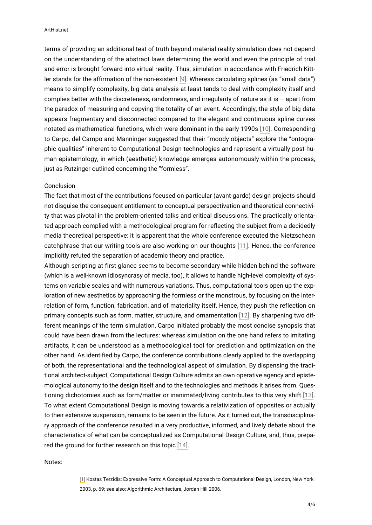<span id="page-3-2"></span>terms of providing an additional test of truth beyond material reality simulation does not depend on the understanding of the abstract laws determining the world and even the principle of trial and error is brought forward into virtual reality. Thus, simulation in accordance with Friedrich Kittler stands for the affirmation of the non-existent [\[9\]](#page-4-6). Whereas calculating splines (as "small data") means to simplify complexity, big data analysis at least tends to deal with complexity itself and complies better with the discreteness, randomness, and irregularity of nature as it is  $-$  apart from the paradox of measuring and copying the totality of an event. Accordingly, the style of big data appears fragmentary and disconnected compared to the elegant and continuous spline curves notated as mathematical functions, which were dominant in the early 1990s [\[10\].](#page-4-7) Corresponding to Carpo, del Campo and Manninger suggested that their "moody objects" explore the "ontographic qualities" inherent to Computational Design technologies and represent a virtually post-human epistemology, in which (aesthetic) knowledge emerges autonomously within the process, just as Rutzinger outlined concerning the "formless".

#### <span id="page-3-3"></span>Conclusion

The fact that most of the contributions focused on particular (avant-garde) design projects should not disguise the consequent entitlement to conceptual perspectivation and theoretical connectivity that was pivotal in the problem-oriented talks and critical discussions. The practically orientated approach complied with a methodological program for reflecting the subject from a decidedly media theoretical perspective: it is apparent that the whole conference executed the Nietzschean catchphrase that our writing tools are also working on our thoughts [\[11\]](#page-4-8). Hence, the conference implicitly refuted the separation of academic theory and practice.

<span id="page-3-5"></span><span id="page-3-4"></span>Although scripting at first glance seems to become secondary while hidden behind the software (which is a well-known idiosyncrasy of media, too), it allows to handle high-level complexity of systems on variable scales and with numerous variations. Thus, computational tools open up the exploration of new aesthetics by approaching the formless or the monstrous, by focusing on the interrelation of form, function, fabrication, and of materiality itself. Hence, they push the reflection on primary concepts such as form, matter, structure, and ornamentation [\[12\]](#page-4-9). By sharpening two different meanings of the term simulation, Carpo initiated probably the most concise synopsis that could have been drawn from the lectures: whereas simulation on the one hand refers to imitating artifacts, it can be understood as a methodological tool for prediction and optimization on the other hand. As identified by Carpo, the conference contributions clearly applied to the overlapping of both, the representational and the technological aspect of simulation. By dispensing the traditional architect-subject, Computational Design Culture admits an own operative agency and epistemological autonomy to the design itself and to the technologies and methods it arises from. Questioning dichotomies such as form/matter or inanimated/living contributes to this very shift [\[13\].](#page-5-0) To what extent Computational Design is moving towards a relativization of opposites or actually to their extensive suspension, remains to be seen in the future. As it turned out, the transdisciplinary approach of the conference resulted in a very productive, informed, and lively debate about the characteristics of what can be conceptualized as Computational Design Culture, and, thus, prepared the ground for further research on this topic [\[14\]](#page-5-1).

#### <span id="page-3-7"></span><span id="page-3-6"></span><span id="page-3-1"></span><span id="page-3-0"></span>Notes:

[\[1\]](#page-0-0) Kostas Terzidis: Expressive Form: A Conceptual Approach to Computational Design, London, New York 2003, p. 69; see also: Algorithmic Architecture, Jordan Hill 2006.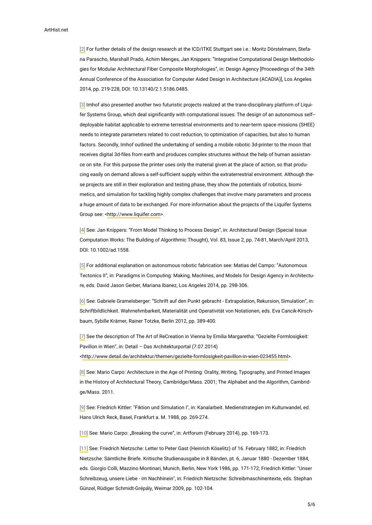[\[2\]](#page-0-1) For further details of the design research at the ICD/ITKE Stuttgart see i.e.: Moritz Dörstelmann, Stefana Parascho, Marshall Prado, Achim Menges, Jan Knippers: "Integrative Computational Design Methodologies for Modular Architectural Fiber Composite Morphologies", in: Design Agency [Proceedings of the 34th Annual Conference of the Association for Computer Aided Design in Architecture (ACADIA)], Los Angeles 2014, pp. 219-228, DOI: 10.13140/2.1.5186.0485.

<span id="page-4-0"></span>[\[3\]](#page-1-0) Imhof also presented another two futuristic projects realized at the trans-disciplinary platform of Liquifer Systems Group, which deal significantly with computational issues: The design of an autonomous self- deployable habitat applicable to extreme terrestrial environments and to near-term space missions (SHEE) needs to integrate parameters related to cost reduction, to optimization of capacities, but also to human factors. Secondly, Imhof outlined the undertaking of sending a mobile robotic 3d-printer to the moon that receives digital 3d-files from earth and produces complex structures without the help of human assistance on site. For this purpose the printer uses only the material given at the place of action, so that producing easily on demand allows a self-sufficient supply within the extraterrestrial environment. Although these projects are still in their exploration and testing phase, they show the potentials of robotics, biomimetics, and simulation for tackling highly complex challenges that involve many parameters and process a huge amount of data to be exchanged. For more information about the projects of the Liquifer Systems Group see: <[http://www.liquifer.com>](http://www.liquifer.com).

<span id="page-4-1"></span>[\[4\]](#page-1-1) See: Jan Knippers: "From Model Thinking to Process Design", in: Architectural Design (Special Issue Computation Works: The Building of Algorithmic Thought), Vol. 83, Issue 2, pp. 74-81, March/April 2013, DOI: 10.1002/ad.1558.

<span id="page-4-2"></span>[\[5\]](#page-2-0) For additional explanation on autonomous robotic fabrication see: Matias del Campo: "Autonomous Tectonics II", in: Paradigms in Computing: Making, Machines, and Models for Design Agency in Architecture, eds. David Jason Gerber, Mariana Ibanez, Los Angeles 2014, pp. 298-306.

<span id="page-4-3"></span>[\[6\]](#page-2-1) See: Gabriele Gramelsberger: "Schrift auf den Punkt gebracht - Extrapolation, Rekursion, Simulation", in: Schriftbildlichkeit. Wahrnehmbarkeit, Materialität und Operativität von Notationen, eds. Eva Cancik-Kirschbaum, Sybille Krämer, Rainer Totzke, Berlin 2012, pp. 389-400.

<span id="page-4-4"></span>[\[7\]](#page-2-2) See the description of The Art of ReCreation in Vienna by Emilia Margaretha: "Gezielte Formlosigkeit: Pavillon in Wien", in: Detail – Das Architekturportal (7.07.2014) <<http://www.detail.de/architektur/themen/gezielte-formlosigkeit-pavillon-in-wien-023455.html>>.

<span id="page-4-5"></span>[\[8\]](#page-2-3) See: Mario Carpo: Architecture in the Age of Printing: Orality, Writing, Typography, and Printed Images in the History of Architectural Theory, Cambridge/Mass. 2001; The Alphabet and the Algorithm, Cambridge/Mass. 2011.

<span id="page-4-6"></span>[\[9\]](#page-3-2) See: Friedrich Kittler: "Fiktion und Simulation I", in: Kanalarbeit. Medienstrategien im Kulturwandel, ed. Hans Ulrich Reck, Basel, Frankfurt a. M. 1988, pp. 269-274.

<span id="page-4-7"></span>[\[10\]](#page-3-3) See: Mario Carpo: "Breaking the curve", in: Artforum (February 2014), pp. 169-173.

<span id="page-4-9"></span><span id="page-4-8"></span>[\[11\]](#page-3-4) See: Friedrich Nietzsche: Letter to Peter Gast (Heinrich Köselitz) of 16. February 1882, in: Friedrich Nietzsche: Sämtliche Briefe. Kritische Studienausgabe in 8 Bänden, pt. 6, Januar 1880 - Dezember 1884, eds. Giorgio Colli, Mazzino Montinari, Munich, Berlin, New York 1986, pp. 171-172; Friedrich Kittler: "Unser Schreibzeug, unsere Liebe - im Nachhinein", in: Friedrich Nietzsche: Schreibmaschinentexte, eds. Stephan Günzel, Rüdiger Schmidt-Grépály, Weimar 2009, pp. 102-104.